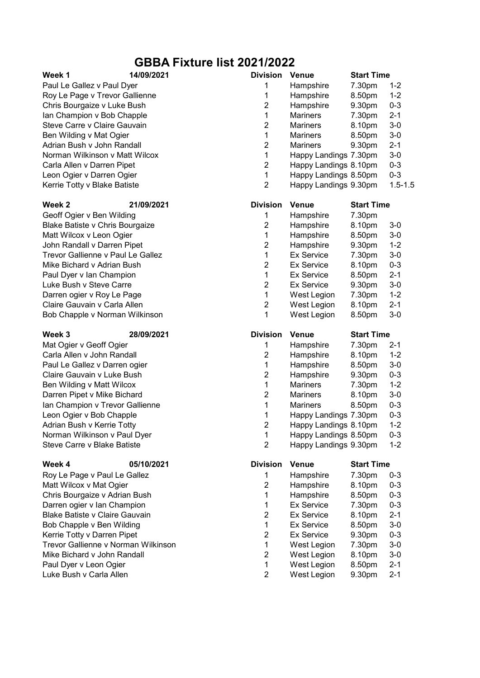# **GBBA Fixture list 2021/2022**<br>14/09/2021 Division V

| vveek 1                        | 14/09/20 |
|--------------------------------|----------|
| Paul Le Gallez v Paul Dyer     |          |
| Roy Le Page v Trevor Gallienne |          |
| Chris Bourgaize v Luke Bush    |          |
| Ian Champion v Bob Chapple     |          |
| Steve Carre v Claire Gauvain   |          |
| Ben Wilding v Mat Ogier        |          |
| Adrian Bush v John Randall     |          |
| Norman Wilkinson v Matt Wilcox |          |
| Carla Allen v Darren Pipet     |          |
| Leon Ogier v Darren Ogier      |          |
| Kerrie Totty v Blake Batiste   |          |
|                                |          |

Roy Le Page v Paul Le Gallez Matt Wilcox v Mat Ogier Chris Bourgaize v Adrian Bush Darren ogier v Ian Champion Blake Batiste v Claire Gauvain Bob Chapple v Ben Wilding Kerrie Totty v Darren Pipet Trevor Gallienne v Norman Wilkinson Mike Bichard v John Randall Paul Dyer v Leon Ogier Luke Bush v Carla Allen 2 Nest Legion 2.30pm 2-1

| Week 1                                | 14/09/2021 | <b>Division Venue</b> |                       | <b>Start Time</b> |             |
|---------------------------------------|------------|-----------------------|-----------------------|-------------------|-------------|
| Paul Le Gallez v Paul Dyer            |            | 1                     | Hampshire             | 7.30pm            | $1 - 2$     |
| Roy Le Page v Trevor Gallienne        |            | 1                     | Hampshire             | 8.50pm            | $1 - 2$     |
| Chris Bourgaize v Luke Bush           |            | $\overline{2}$        | Hampshire             | 9.30pm            | $0 - 3$     |
| Ian Champion v Bob Chapple            |            | $\mathbf{1}$          | <b>Mariners</b>       | 7.30pm            | $2 - 1$     |
| Steve Carre v Claire Gauvain          |            | $\overline{2}$        | <b>Mariners</b>       | 8.10pm            | $3-0$       |
| Ben Wilding v Mat Ogier               |            | $\mathbf{1}$          | <b>Mariners</b>       | 8.50pm            | $3-0$       |
| Adrian Bush v John Randall            |            | $\overline{2}$        | Mariners              | 9.30pm            | $2 - 1$     |
| Norman Wilkinson v Matt Wilcox        |            | $\mathbf{1}$          | Happy Landings 7.30pm |                   | $3-0$       |
| Carla Allen v Darren Pipet            |            | $\overline{c}$        | Happy Landings 8.10pm |                   | $0 - 3$     |
| Leon Ogier v Darren Ogier             |            | $\mathbf{1}$          | Happy Landings 8.50pm |                   | $0 - 3$     |
| Kerrie Totty v Blake Batiste          |            | $\overline{2}$        | Happy Landings 9.30pm |                   | $1.5 - 1.5$ |
| Week <sub>2</sub>                     | 21/09/2021 | <b>Division</b>       | <b>Venue</b>          | <b>Start Time</b> |             |
| Geoff Ogier v Ben Wilding             |            | 1                     | Hampshire             | 7.30pm            |             |
| Blake Batiste v Chris Bourgaize       |            | $\overline{2}$        | Hampshire             | 8.10pm            | $3-0$       |
| Matt Wilcox v Leon Ogier              |            | $\mathbf{1}$          | Hampshire             | 8.50pm            | $3-0$       |
| John Randall v Darren Pipet           |            | $\overline{2}$        | Hampshire             | 9.30pm            | $1 - 2$     |
| Trevor Gallienne v Paul Le Gallez     |            | $\mathbf 1$           | Ex Service            | 7.30pm            | $3-0$       |
| Mike Bichard v Adrian Bush            |            | $\overline{2}$        | Ex Service            | 8.10pm            | $0 - 3$     |
| Paul Dyer v lan Champion              |            | $\mathbf{1}$          | Ex Service            | 8.50pm            | $2 - 1$     |
| Luke Bush v Steve Carre               |            | $\overline{2}$        | <b>Ex Service</b>     | 9.30pm            | $3-0$       |
| Darren ogier v Roy Le Page            |            | $\mathbf{1}$          | West Legion           | 7.30pm            | $1 - 2$     |
| Claire Gauvain v Carla Allen          |            | $\overline{2}$        | West Legion           | 8.10pm            | $2 - 1$     |
| Bob Chapple v Norman Wilkinson        |            | $\mathbf{1}$          | West Legion           | 8.50pm            | $3-0$       |
| Week 3                                | 28/09/2021 | <b>Division</b>       | <b>Venue</b>          | <b>Start Time</b> |             |
| Mat Ogier v Geoff Ogier               |            | 1                     | Hampshire             | 7.30pm            | $2 - 1$     |
| Carla Allen v John Randall            |            | $\overline{c}$        | Hampshire             | 8.10pm            | $1 - 2$     |
| Paul Le Gallez v Darren ogier         |            | $\mathbf{1}$          | Hampshire             | 8.50pm            | $3-0$       |
| Claire Gauvain v Luke Bush            |            | $\overline{2}$        | Hampshire             | 9.30pm            | $0 - 3$     |
| Ben Wilding v Matt Wilcox             |            | $\mathbf 1$           | <b>Mariners</b>       | 7.30pm            | $1 - 2$     |
| Darren Pipet v Mike Bichard           |            | $\overline{2}$        | <b>Mariners</b>       | 8.10pm            | $3-0$       |
| Ian Champion v Trevor Gallienne       |            | $\mathbf{1}$          | <b>Mariners</b>       | 8.50pm            | $0 - 3$     |
| Leon Ogier v Bob Chapple              |            | $\mathbf{1}$          | Happy Landings 7.30pm |                   | $0 - 3$     |
| Adrian Bush v Kerrie Totty            |            | $\overline{2}$        | Happy Landings 8.10pm |                   | $1 - 2$     |
| Norman Wilkinson v Paul Dyer          |            | $\mathbf 1$           | Happy Landings 8.50pm |                   | $0 - 3$     |
| Steve Carre v Blake Batiste           |            | $\overline{2}$        | Happy Landings 9.30pm |                   | $1 - 2$     |
| Week 4                                | 05/10/2021 | <b>Division</b>       | Venue                 | <b>Start Time</b> |             |
| Roy Le Page v Paul Le Gallez          |            | $\mathbf 1$           | Hampshire             | 7.30pm            | $0 - 3$     |
| Matt Wilcox v Mat Ogier               |            | $\overline{c}$        | Hampshire             | 8.10pm            | $0 - 3$     |
| Chris Bourgaize v Adrian Bush         |            | 1                     | Hampshire             | 8.50pm            | $0 - 3$     |
| Darren ogier v lan Champion           |            | $\mathbf 1$           | <b>Ex Service</b>     | 7.30pm            | $0 - 3$     |
| <b>Blake Batiste v Claire Gauvain</b> |            | $\overline{2}$        | <b>Ex Service</b>     | 8.10pm            | $2 - 1$     |
| Bob Chapple v Ben Wilding             |            | $\mathbf{1}$          | <b>Ex Service</b>     | 8.50pm            | $3-0$       |
| Kerrie Totty v Darren Pipet           |            | $\overline{2}$        | Ex Service            | 9.30pm            | $0 - 3$     |
| Trevor Gallienne v Norman Wilkinson   |            | $\mathbf{1}$          | West Legion           | 7.30pm            | $3-0$       |
| Mike Bichard v John Randall           |            | $\overline{2}$        | West Legion           | 8.10pm            | $3-0$       |
| Paul Dyer v Leon Ogier                |            | 1                     | West Legion           | 8.50pm            | $2 - 1$     |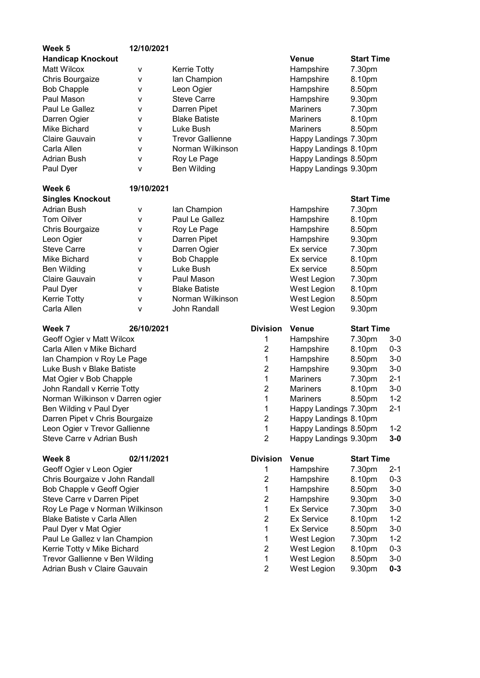| Week 5                          | 12/10/2021 |                         |                 |                       |                   |         |
|---------------------------------|------------|-------------------------|-----------------|-----------------------|-------------------|---------|
| <b>Handicap Knockout</b>        |            |                         |                 | <b>Venue</b>          | <b>Start Time</b> |         |
| <b>Matt Wilcox</b>              | v          | <b>Kerrie Totty</b>     |                 | Hampshire             | 7.30pm            |         |
| Chris Bourgaize                 | ٧          | lan Champion            |                 | Hampshire             | 8.10pm            |         |
| <b>Bob Chapple</b>              | ۷          | Leon Ogier              |                 | Hampshire             | 8.50pm            |         |
| Paul Mason                      | v          | <b>Steve Carre</b>      |                 | Hampshire             | 9.30pm            |         |
| Paul Le Gallez                  | ٧          | Darren Pipet            |                 | <b>Mariners</b>       | 7.30pm            |         |
| Darren Ogier                    | ۷          | <b>Blake Batiste</b>    |                 | <b>Mariners</b>       | 8.10pm            |         |
| Mike Bichard                    | v          | Luke Bush               |                 | <b>Mariners</b>       | 8.50pm            |         |
| <b>Claire Gauvain</b>           | v          | <b>Trevor Gallienne</b> |                 | Happy Landings 7.30pm |                   |         |
| Carla Allen                     | v          | Norman Wilkinson        |                 | Happy Landings 8.10pm |                   |         |
| Adrian Bush                     | v          | Roy Le Page             |                 | Happy Landings 8.50pm |                   |         |
| Paul Dyer                       | ٧          | <b>Ben Wilding</b>      |                 | Happy Landings 9.30pm |                   |         |
|                                 |            |                         |                 |                       |                   |         |
| Week 6                          | 19/10/2021 |                         |                 |                       |                   |         |
| <b>Singles Knockout</b>         |            |                         |                 |                       | <b>Start Time</b> |         |
| <b>Adrian Bush</b>              | ٧          | lan Champion            |                 | Hampshire             | 7.30pm            |         |
| <b>Tom Oilver</b>               | ۷          | Paul Le Gallez          |                 | Hampshire             | 8.10pm            |         |
| Chris Bourgaize                 | ۷          | Roy Le Page             |                 | Hampshire             | 8.50pm            |         |
| Leon Ogier                      | ٧          | Darren Pipet            |                 | Hampshire             | 9.30pm            |         |
| <b>Steve Carre</b>              | v          | Darren Ogier            |                 | Ex service            | 7.30pm            |         |
| Mike Bichard                    | ۷          | <b>Bob Chapple</b>      |                 | Ex service            | 8.10pm            |         |
| <b>Ben Wilding</b>              | v          | Luke Bush               |                 | Ex service            | 8.50pm            |         |
| <b>Claire Gauvain</b>           | v          | Paul Mason              |                 | West Legion           | 7.30pm            |         |
| Paul Dyer                       | v          | <b>Blake Batiste</b>    |                 | West Legion           | 8.10pm            |         |
| <b>Kerrie Totty</b>             | v          | Norman Wilkinson        |                 | West Legion           | 8.50pm            |         |
| Carla Allen                     | ٧          | John Randall            |                 | West Legion           | 9.30pm            |         |
| Week 7                          | 26/10/2021 |                         | <b>Division</b> | Venue                 | <b>Start Time</b> |         |
| Geoff Ogier v Matt Wilcox       |            |                         | 1               | Hampshire             | 7.30pm            | 3-0     |
| Carla Allen v Mike Bichard      |            |                         | $\overline{2}$  | Hampshire             | 8.10pm            | $0 - 3$ |
| Ian Champion v Roy Le Page      |            |                         | 1               | Hampshire             | 8.50pm            | $3-0$   |
| Luke Bush v Blake Batiste       |            |                         | $\overline{c}$  | Hampshire             | 9.30pm            | $3-0$   |
| Mat Ogier v Bob Chapple         |            |                         | 1               | <b>Mariners</b>       | 7.30pm            | $2 - 1$ |
| John Randall v Kerrie Totty     |            |                         | $\overline{2}$  | <b>Mariners</b>       | 8.10pm            | $3-0$   |
| Norman Wilkinson v Darren ogier |            |                         | 1               | Mariners              | 8.50pm            | $1 - 2$ |
| Ben Wilding v Paul Dyer         |            |                         | 1               | Happy Landings 7.30pm |                   | $2 - 1$ |
| Darren Pipet v Chris Bourgaize  |            |                         | $\overline{2}$  | Happy Landings 8.10pm |                   |         |
| Leon Ogier v Trevor Gallienne   |            |                         | $\mathbf{1}$    | Happy Landings 8.50pm |                   | $1 - 2$ |
| Steve Carre v Adrian Bush       |            |                         | $\overline{2}$  | Happy Landings 9.30pm |                   | $3-0$   |
| Week 8                          | 02/11/2021 |                         | <b>Division</b> | Venue                 | <b>Start Time</b> |         |
| Geoff Ogier v Leon Ogier        |            |                         | 1               | Hampshire             | 7.30pm            | 2-1     |
| Chris Bourgaize v John Randall  |            |                         | $\overline{2}$  | Hampshire             | 8.10pm            | $0 - 3$ |
| Bob Chapple v Geoff Ogier       |            |                         | 1               | Hampshire             | 8.50pm            | $3-0$   |
| Steve Carre v Darren Pipet      |            |                         | $\overline{2}$  | Hampshire             | 9.30pm            | $3-0$   |
| Roy Le Page v Norman Wilkinson  |            |                         | 1               | <b>Ex Service</b>     | 7.30pm            | $3-0$   |
| Blake Batiste v Carla Allen     |            |                         | $\overline{2}$  | <b>Ex Service</b>     | 8.10pm            | $1 - 2$ |
| Paul Dyer v Mat Ogier           |            |                         | $\mathbf{1}$    | <b>Ex Service</b>     | 8.50pm            | $3-0$   |
| Paul Le Gallez v Ian Champion   |            |                         | 1               | West Legion           | 7.30pm            | $1 - 2$ |
| Kerrie Totty v Mike Bichard     |            |                         | $\overline{2}$  | West Legion           | 8.10pm            | $0 - 3$ |
| Trevor Gallienne v Ben Wilding  |            |                         | $\mathbf{1}$    | West Legion           | 8.50pm            | $3-0$   |
| Adrian Bush v Claire Gauvain    |            |                         | $\overline{2}$  | West Legion           | 9.30pm            | $0 - 3$ |
|                                 |            |                         |                 |                       |                   |         |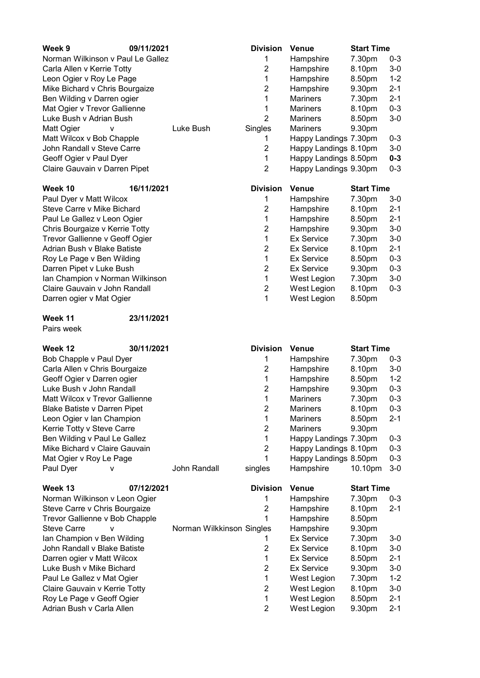| Week 9                              | 09/11/2021                        |                           | <b>Division</b> | Venue                 | <b>Start Time</b> |         |
|-------------------------------------|-----------------------------------|---------------------------|-----------------|-----------------------|-------------------|---------|
|                                     | Norman Wilkinson v Paul Le Gallez |                           | 1               | Hampshire             | 7.30pm            | $0 - 3$ |
| Carla Allen v Kerrie Totty          |                                   |                           | $\overline{2}$  | Hampshire             | 8.10pm            | $3-0$   |
| Leon Ogier v Roy Le Page            |                                   |                           | 1               | Hampshire             | 8.50pm            | $1 - 2$ |
| Mike Bichard v Chris Bourgaize      |                                   |                           | $\overline{2}$  | Hampshire             | 9.30pm            | $2 - 1$ |
| Ben Wilding v Darren ogier          |                                   |                           | 1               | <b>Mariners</b>       | 7.30pm            | $2 - 1$ |
| Mat Ogier v Trevor Gallienne        |                                   |                           | 1               | <b>Mariners</b>       | 8.10pm            | $0 - 3$ |
| Luke Bush v Adrian Bush             |                                   |                           | $\overline{2}$  | <b>Mariners</b>       | 8.50pm            | $3-0$   |
| Matt Ogier                          | v                                 | Luke Bush                 | Singles         | <b>Mariners</b>       | 9.30pm            |         |
| Matt Wilcox v Bob Chapple           |                                   |                           | $\mathbf{1}$    | Happy Landings 7.30pm |                   | $0 - 3$ |
| John Randall v Steve Carre          |                                   |                           | $\overline{2}$  | Happy Landings 8.10pm |                   | $3-0$   |
| Geoff Ogier v Paul Dyer             |                                   |                           | 1               | Happy Landings 8.50pm |                   | $0 - 3$ |
| Claire Gauvain v Darren Pipet       |                                   |                           | $\overline{2}$  | Happy Landings 9.30pm |                   | $0 - 3$ |
| Week 10                             | 16/11/2021                        |                           | <b>Division</b> | Venue                 | <b>Start Time</b> |         |
| Paul Dyer v Matt Wilcox             |                                   |                           | $\mathbf 1$     | Hampshire             | 7.30pm            | $3-0$   |
| Steve Carre v Mike Bichard          |                                   |                           | $\overline{2}$  |                       |                   |         |
|                                     |                                   |                           |                 | Hampshire             | 8.10pm            | $2 - 1$ |
| Paul Le Gallez v Leon Ogier         |                                   |                           | 1               | Hampshire             | 8.50pm            | $2 - 1$ |
| Chris Bourgaize v Kerrie Totty      |                                   |                           | $\overline{2}$  | Hampshire             | 9.30pm            | $3-0$   |
| Trevor Gallienne v Geoff Ogier      |                                   |                           | 1               | Ex Service            | 7.30pm            | $3-0$   |
| Adrian Bush v Blake Batiste         |                                   |                           | $\overline{2}$  | Ex Service            | 8.10pm            | $2 - 1$ |
| Roy Le Page v Ben Wilding           |                                   |                           | $\mathbf 1$     | Ex Service            | 8.50pm            | $0 - 3$ |
| Darren Pipet v Luke Bush            |                                   |                           | $\overline{2}$  | <b>Ex Service</b>     | 9.30pm            | $0 - 3$ |
|                                     | Ian Champion v Norman Wilkinson   |                           | $\mathbf{1}$    | West Legion           | 7.30pm            | $3-0$   |
| Claire Gauvain v John Randall       |                                   |                           | $\overline{2}$  | West Legion           | 8.10pm            | $0 - 3$ |
| Darren ogier v Mat Ogier            |                                   |                           | 1               | West Legion           | 8.50pm            |         |
| Week 11                             | 23/11/2021                        |                           |                 |                       |                   |         |
| Pairs week                          |                                   |                           |                 |                       |                   |         |
| Week 12                             | 30/11/2021                        |                           | <b>Division</b> | Venue                 | <b>Start Time</b> |         |
| Bob Chapple v Paul Dyer             |                                   |                           | 1               | Hampshire             | 7.30pm            | $0 - 3$ |
| Carla Allen v Chris Bourgaize       |                                   |                           | $\overline{2}$  | Hampshire             | 8.10pm            | $3-0$   |
| Geoff Ogier v Darren ogier          |                                   |                           | 1               | Hampshire             | 8.50pm            | $1 - 2$ |
| Luke Bush v John Randall            |                                   |                           | $\overline{2}$  | Hampshire             | 9.30pm            | $0 - 3$ |
| Matt Wilcox v Trevor Gallienne      |                                   |                           | 1               | <b>Mariners</b>       | 7.30pm            | $0 - 3$ |
| <b>Blake Batiste v Darren Pipet</b> |                                   |                           | $\overline{2}$  | <b>Mariners</b>       | 8.10pm            | $0 - 3$ |
| Leon Ogier v lan Champion           |                                   |                           | $\mathbf 1$     | <b>Mariners</b>       | 8.50pm            | $2 - 1$ |
| Kerrie Totty v Steve Carre          |                                   |                           | 2               | <b>Mariners</b>       | 9.30pm            |         |
| Ben Wilding v Paul Le Gallez        |                                   |                           | 1               | Happy Landings 7.30pm |                   | $0 - 3$ |
| Mike Bichard v Claire Gauvain       |                                   |                           | $\overline{2}$  | Happy Landings 8.10pm |                   | $0 - 3$ |
| Mat Ogier v Roy Le Page             |                                   |                           | 1               | Happy Landings 8.50pm |                   | $0 - 3$ |
| Paul Dyer                           | v                                 | John Randall              | singles         | Hampshire             | 10.10pm           | $3-0$   |
| Week 13                             | 07/12/2021                        |                           | <b>Division</b> | Venue                 | <b>Start Time</b> |         |
| Norman Wilkinson v Leon Ogier       |                                   |                           | 1               | Hampshire             | 7.30pm            | $0 - 3$ |
| Steve Carre v Chris Bourgaize       |                                   |                           | $\overline{2}$  | Hampshire             | 8.10pm            | $2 - 1$ |
| Trevor Gallienne v Bob Chapple      |                                   |                           | 1               | Hampshire             | 8.50pm            |         |
| <b>Steve Carre</b>                  |                                   |                           |                 |                       |                   |         |
|                                     | V                                 | Norman Wilkkinson Singles |                 | Hampshire             | 9.30pm            |         |
| Ian Champion v Ben Wilding          |                                   |                           | 1               | <b>Ex Service</b>     | 7.30pm            | $3-0$   |
| John Randall v Blake Batiste        |                                   |                           | $\overline{2}$  | <b>Ex Service</b>     | 8.10pm            | $3-0$   |
| Darren ogier v Matt Wilcox          |                                   |                           | 1               | <b>Ex Service</b>     | 8.50pm            | $2 - 1$ |
| Luke Bush v Mike Bichard            |                                   |                           | $\overline{2}$  | <b>Ex Service</b>     | 9.30pm            | $3-0$   |
| Paul Le Gallez v Mat Ogier          |                                   |                           | 1               | West Legion           | 7.30pm            | $1 - 2$ |
| Claire Gauvain v Kerrie Totty       |                                   |                           | $\overline{c}$  | West Legion           | 8.10pm            | $3-0$   |
| Roy Le Page v Geoff Ogier           |                                   |                           | $\mathbf{1}$    | West Legion           | 8.50pm            | $2 - 1$ |

Adrian Bush v Carla Allen 2 West Legion 9.30pm 2-1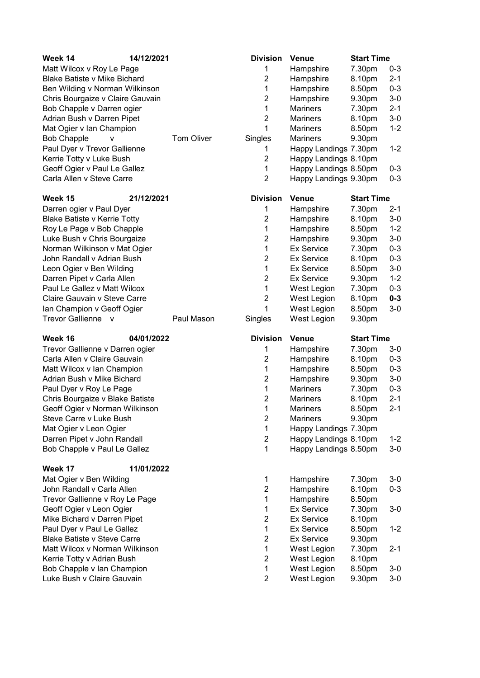| Week 14                             | 14/12/2021 |                   | <b>Division</b>         | Venue                      | <b>Start Time</b> |         |
|-------------------------------------|------------|-------------------|-------------------------|----------------------------|-------------------|---------|
| Matt Wilcox v Roy Le Page           |            |                   | 1                       | Hampshire                  | 7.30pm            | $0 - 3$ |
| <b>Blake Batiste v Mike Bichard</b> |            |                   | $\overline{2}$          | Hampshire                  | 8.10pm            | $2 - 1$ |
| Ben Wilding v Norman Wilkinson      |            |                   | $\mathbf{1}$            | Hampshire                  | 8.50pm            | $0 - 3$ |
| Chris Bourgaize v Claire Gauvain    |            |                   | $\overline{2}$          | Hampshire                  | 9.30pm            | $3-0$   |
| Bob Chapple v Darren ogier          |            |                   | 1                       | <b>Mariners</b>            | 7.30pm            | $2 - 1$ |
| Adrian Bush v Darren Pipet          |            |                   | $\overline{2}$          | <b>Mariners</b>            | 8.10pm            | $3-0$   |
| Mat Ogier v Ian Champion            |            |                   | 1                       | <b>Mariners</b>            | 8.50pm            | $1 - 2$ |
| <b>Bob Chapple</b><br>$\mathsf{v}$  |            | <b>Tom Oliver</b> | Singles                 | <b>Mariners</b>            | 9.30pm            |         |
| Paul Dyer v Trevor Gallienne        |            |                   | 1                       | Happy Landings 7.30pm      |                   | $1 - 2$ |
| Kerrie Totty v Luke Bush            |            |                   | $\overline{2}$          | Happy Landings 8.10pm      |                   |         |
| Geoff Ogier v Paul Le Gallez        |            |                   | 1                       | Happy Landings 8.50pm      |                   | $0 - 3$ |
| Carla Allen v Steve Carre           |            |                   | $\overline{2}$          | Happy Landings 9.30pm      |                   | $0 - 3$ |
| Week 15                             | 21/12/2021 |                   | <b>Division</b>         | Venue                      | <b>Start Time</b> |         |
| Darren ogier v Paul Dyer            |            |                   | 1                       | Hampshire                  | 7.30pm            | 2-1     |
| Blake Batiste v Kerrie Totty        |            |                   | $\overline{2}$          | Hampshire                  | 8.10pm            | $3-0$   |
| Roy Le Page v Bob Chapple           |            |                   | 1                       | Hampshire                  | 8.50pm            | $1 - 2$ |
| Luke Bush v Chris Bourgaize         |            |                   | $\overline{2}$          | Hampshire                  | 9.30pm            | $3-0$   |
| Norman Wilkinson v Mat Ogier        |            |                   | 1                       | Ex Service                 | 7.30pm            | $0 - 3$ |
| John Randall v Adrian Bush          |            |                   | $\overline{2}$          | <b>Ex Service</b>          | 8.10pm            | $0 - 3$ |
| Leon Ogier v Ben Wilding            |            |                   | 1                       | <b>Ex Service</b>          | 8.50pm            | $3-0$   |
| Darren Pipet v Carla Allen          |            |                   | $\overline{c}$          | <b>Ex Service</b>          | 9.30pm            | $1 - 2$ |
| Paul Le Gallez v Matt Wilcox        |            |                   | 1                       | West Legion                | 7.30pm            | $0 - 3$ |
| Claire Gauvain v Steve Carre        |            |                   | $\overline{2}$          | West Legion                | 8.10pm            | $0 - 3$ |
| Ian Champion v Geoff Ogier          |            |                   | 1                       | West Legion                | 8.50pm            | $3-0$   |
| Trevor Gallienne v                  |            | Paul Mason        | Singles                 | West Legion                | 9.30pm            |         |
| Week 16                             | 04/01/2022 |                   | <b>Division</b>         | <b>Venue</b>               | <b>Start Time</b> |         |
| Trevor Gallienne v Darren ogier     |            |                   | 1                       | Hampshire                  | 7.30pm            | $3-0$   |
| Carla Allen v Claire Gauvain        |            |                   | $\overline{2}$          | Hampshire                  | 8.10pm            | $0 - 3$ |
| Matt Wilcox v Ian Champion          |            |                   | 1                       | Hampshire                  | 8.50pm            | $0 - 3$ |
| Adrian Bush v Mike Bichard          |            |                   | $\overline{2}$          | Hampshire                  | 9.30pm            | $3-0$   |
| Paul Dyer v Roy Le Page             |            |                   | 1                       | <b>Mariners</b>            | 7.30pm            | $0 - 3$ |
| Chris Bourgaize v Blake Batiste     |            |                   | $\overline{2}$          | <b>Mariners</b>            | 8.10pm            | $2 - 1$ |
| Geoff Ogier v Norman Wilkinson      |            |                   | 1                       | <b>Mariners</b>            | 8.50pm            | $2 - 1$ |
| Steve Carre v Luke Bush             |            |                   | $\overline{\mathbf{c}}$ | <b>Mariners</b>            | 9.30pm            |         |
| Mat Ogier v Leon Ogier              |            |                   | 1                       | Happy Landings 7.30pm      |                   |         |
| Darren Pipet v John Randall         |            |                   | $\overline{c}$          | Happy Landings 8.10pm      |                   | $1 - 2$ |
| Bob Chapple v Paul Le Gallez        |            |                   | 1                       | Happy Landings 8.50pm      |                   | $3-0$   |
| Week 17                             | 11/01/2022 |                   |                         |                            |                   |         |
| Mat Ogier v Ben Wilding             |            |                   | $\mathbf{1}$            | Hampshire                  | 7.30pm            | $3-0$   |
| John Randall v Carla Allen          |            |                   | $\overline{2}$          | Hampshire                  | 8.10pm            | $0 - 3$ |
| Trevor Gallienne v Roy Le Page      |            |                   | 1                       | Hampshire                  | 8.50pm            |         |
| Geoff Ogier v Leon Ogier            |            |                   | 1                       | <b>Ex Service</b>          | 7.30pm            | $3-0$   |
| Mike Bichard v Darren Pipet         |            |                   | 2                       | <b>Ex Service</b>          | 8.10pm            |         |
| Paul Dyer v Paul Le Gallez          |            |                   | 1                       | <b>Ex Service</b>          | 8.50pm            | $1 - 2$ |
| <b>Blake Batiste v Steve Carre</b>  |            |                   | $\overline{2}$          | <b>Ex Service</b>          | 9.30pm            |         |
| Matt Wilcox v Norman Wilkinson      |            |                   | 1                       | West Legion                | 7.30pm            | $2 - 1$ |
| Kerrie Totty v Adrian Bush          |            |                   |                         |                            |                   |         |
|                                     |            |                   |                         |                            |                   |         |
| Bob Chapple v Ian Champion          |            |                   | $\overline{2}$<br>1     | West Legion<br>West Legion | 8.10pm<br>8.50pm  | $3-0$   |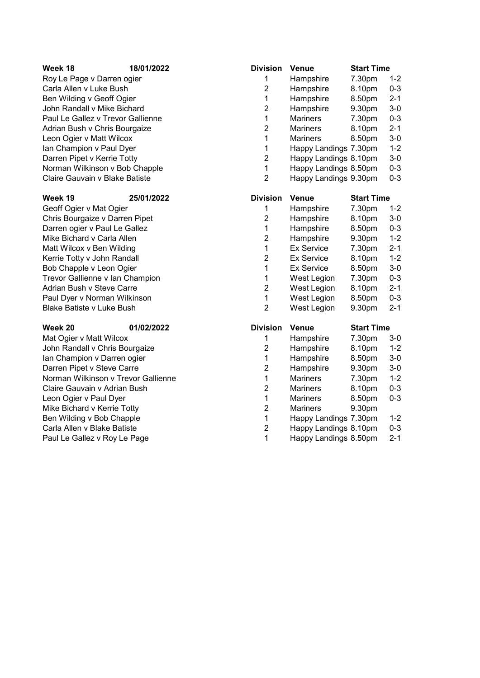Paul Le Gallez v Trevor Gallienne

## Week 18 18/01/2022 Division Venue Start Time Roy Le Page v Darren ogier 1 1 Hampshire 1.30pm 1-2 Carla Allen v Luke Bush 2 Hampshire 8.10pm 0-3 Ben Wilding v Geoff Ogier 1 1 Hampshire 8.50pm 2-1 John Randall v Mike Bichard 2 Hampshire 9.30pm 3-0 Adrian Bush v Chris Bourgaize 2 Mariners 8.10pm 2-1 Leon Ogier v Matt Wilcox 1 Mariners 8.50pm 3-0 Ian Champion v Paul Dyer 1 1 Happy Landings 7.30pm 1-2 Darren Pipet v Kerrie Totty 2 Happy Landings 8.10pm 3-0 Norman Wilkinson v Bob Chapple 1 Happy Landings 8.50pm 0-3 Claire Gauvain v Blake Batiste 2 Happy Landings 9.30pm 0-3 Week 19 25/01/2022 Division Venue Start Time Geoff Ogier v Mat Ogier 1 Hampshire 7.30pm 1-2 Chris Bourgaize v Darren Pipet 2 Hampshire 8.10pm 3-0 Darren ogier v Paul Le Gallez 1 decree 1 Hampshire 8.50pm 0-3 Mike Bichard v Carla Allen 2 die 12 die 2012 - 2013 Hampshire 2 9.30pm 1-2<br>Matt Wilcox v Ben Wilding 2008 1 die 2014 - 2020 1 die 2021 - 2021 - 2021 1 die 2021 2021 2021 2021 2021 2021 Matt Wilcox v Ben Wilding 1 and 1 Ex Service 1.30pm 2-1 Kerrie Totty v John Randall **2** Ex Service 8.10pm 1-2 Bob Chapple v Leon Ogier 1 Ex Service 8.50pm 3-0 Trevor Gallienne v Ian Champion<br>
Adrian Bush v Steve Carre<br>
Adrian Bush v Steve Carre Adrian Bush v Steve Carre 2 New York 2 2 West Legion 8.10pm Paul Dyer v Norman Wilkinson 1 Mexico 2012 1 Mexic Legion 8.50pm 0-3 Blake Batiste v Luke Bush 2 West Legion 9.30pm 2-1 Week 20 01/02/2022 Division Venue Start Time Mat Ogier v Matt Wilcox **1 Hampshire** 7.30pm 3-0 John Randall v Chris Bourgaize 2 Hampshire 8.10pm 1-2 Ian Champion v Darren ogier 1 Hampshire 8.50pm Darren Pipet v Steve Carre 2 Hampshire 9.30pm 3-0 Norman Wilkinson v Trevor Gallienne 1 1 Mariners 1.30pm 1-2 Claire Gauvain v Adrian Bush **2** Mariners 8.10pm 0-3 Leon Ogier v Paul Dyer 1 Mariners 8.50pm 0-3 Mike Bichard v Kerrie Totty 2 Mariners 9.30pm Ben Wilding v Bob Chapple 1 1 Happy Landings 7.30pm 1-2 Carla Allen v Blake Batiste 2 Happy Landings 8.10pm 0-3 Paul Le Gallez v Roy Le Page 1 1 Happy Landings 8.50pm 2-1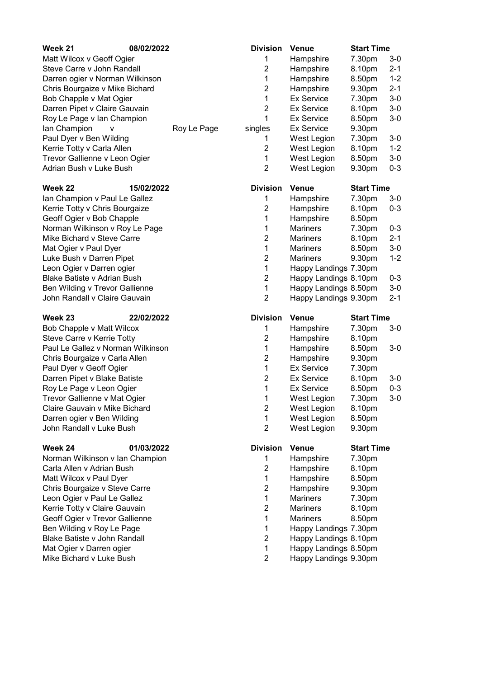| <b>Division</b><br><b>Start Time</b><br>Week 21<br>08/02/2022<br><b>Venue</b><br>1<br>7.30pm<br>Matt Wilcox v Geoff Ogier<br>Hampshire<br>$\overline{2}$<br>Hampshire<br>Steve Carre v John Randall<br>8.10pm |         |
|---------------------------------------------------------------------------------------------------------------------------------------------------------------------------------------------------------------|---------|
|                                                                                                                                                                                                               |         |
|                                                                                                                                                                                                               | 3-0     |
|                                                                                                                                                                                                               | $2 - 1$ |
| $\mathbf{1}$<br>Hampshire<br>Darren ogier v Norman Wilkinson<br>8.50pm                                                                                                                                        | $1 - 2$ |
| $\overline{2}$<br>Hampshire<br>9.30pm<br>Chris Bourgaize v Mike Bichard                                                                                                                                       | $2 - 1$ |
| $\mathbf{1}$<br><b>Ex Service</b><br>Bob Chapple v Mat Ogier<br>7.30pm                                                                                                                                        | $3-0$   |
| $\overline{2}$<br>Darren Pipet v Claire Gauvain<br>Ex Service<br>8.10pm                                                                                                                                       | $3-0$   |
| 1<br>Roy Le Page v Ian Champion<br><b>Ex Service</b><br>8.50pm                                                                                                                                                | $3-0$   |
| lan Champion<br><b>Ex Service</b><br>9.30pm<br>Roy Le Page<br>singles<br>v                                                                                                                                    |         |
| Paul Dyer v Ben Wilding<br>West Legion<br>7.30pm<br>1                                                                                                                                                         | $3-0$   |
| $\overline{2}$<br>Kerrie Totty v Carla Allen<br>West Legion<br>8.10pm                                                                                                                                         | $1 - 2$ |
| Trevor Gallienne v Leon Ogier<br>1<br>West Legion<br>8.50pm                                                                                                                                                   | $3-0$   |
| $\overline{2}$<br>Adrian Bush v Luke Bush<br>West Legion<br>9.30pm                                                                                                                                            | $0 - 3$ |
| <b>Division</b><br>15/02/2022<br><b>Start Time</b><br>Week 22<br>Venue                                                                                                                                        |         |
| 1<br>7.30pm<br>Ian Champion v Paul Le Gallez<br>Hampshire                                                                                                                                                     | 3-0     |
| $\overline{2}$<br>Kerrie Totty v Chris Bourgaize<br>Hampshire<br>8.10pm                                                                                                                                       | $0 - 3$ |
| 1<br>Hampshire<br>Geoff Ogier v Bob Chapple<br>8.50pm                                                                                                                                                         |         |
| 1<br>Norman Wilkinson v Roy Le Page<br><b>Mariners</b><br>7.30pm                                                                                                                                              | $0 - 3$ |
| $\overline{2}$<br>Mike Bichard v Steve Carre<br><b>Mariners</b><br>8.10pm                                                                                                                                     | $2 - 1$ |
| 1<br>Mat Ogier v Paul Dyer<br>8.50pm<br><b>Mariners</b>                                                                                                                                                       | $3-0$   |
| $\overline{2}$<br>Luke Bush v Darren Pipet<br>9.30pm<br><b>Mariners</b>                                                                                                                                       | $1 - 2$ |
| 1<br>Leon Ogier v Darren ogier<br>Happy Landings 7.30pm                                                                                                                                                       |         |
| $\overline{2}$<br>Blake Batiste v Adrian Bush<br>Happy Landings 8.10pm                                                                                                                                        | $0 - 3$ |
| Ben Wilding v Trevor Gallienne<br>1<br>Happy Landings 8.50pm                                                                                                                                                  | $3-0$   |
| $\overline{2}$<br>John Randall v Claire Gauvain<br>Happy Landings 9.30pm                                                                                                                                      | $2 - 1$ |
| <b>Division</b><br><b>Start Time</b><br>22/02/2022<br>Venue<br>Week 23                                                                                                                                        |         |
| 1<br>Hampshire<br>7.30pm<br>Bob Chapple v Matt Wilcox                                                                                                                                                         | $3-0$   |
| $\overline{2}$<br>Steve Carre v Kerrie Totty<br>Hampshire<br>8.10pm                                                                                                                                           |         |
| Paul Le Gallez v Norman Wilkinson<br>1<br>Hampshire<br>8.50pm                                                                                                                                                 | $3-0$   |
| $\overline{2}$<br>Hampshire<br>9.30pm<br>Chris Bourgaize v Carla Allen                                                                                                                                        |         |
| $\mathbf{1}$<br>Paul Dyer v Geoff Ogier<br><b>Ex Service</b><br>7.30pm                                                                                                                                        |         |
| Darren Pipet v Blake Batiste<br>$\overline{2}$<br><b>Ex Service</b><br>8.10pm                                                                                                                                 | $3-0$   |
| 1<br>Roy Le Page v Leon Ogier<br><b>Ex Service</b><br>8.50pm                                                                                                                                                  | $0 - 3$ |
| Trevor Gallienne v Mat Ogier<br>1<br>West Legion<br>7.30pm                                                                                                                                                    | 3-0     |
| Claire Gauvain v Mike Bichard<br>2<br>West Legion<br>8.10pm                                                                                                                                                   |         |
| West Legion<br>Darren ogier v Ben Wilding<br>1<br>8.50pm                                                                                                                                                      |         |
| John Randall v Luke Bush<br>$\overline{2}$<br>West Legion<br>9.30pm                                                                                                                                           |         |
| <b>Division</b><br><b>Start Time</b><br>Week 24<br>01/03/2022<br>Venue                                                                                                                                        |         |
| Norman Wilkinson v Ian Champion<br>1<br>Hampshire<br>7.30pm                                                                                                                                                   |         |
| Carla Allen v Adrian Bush<br>$\overline{2}$<br>Hampshire<br>8.10pm                                                                                                                                            |         |
| $\mathbf{1}$<br>Hampshire<br>Matt Wilcox v Paul Dyer<br>8.50pm                                                                                                                                                |         |
|                                                                                                                                                                                                               |         |
|                                                                                                                                                                                                               |         |
| Chris Bourgaize v Steve Carre<br>$\overline{2}$<br>Hampshire<br>9.30pm                                                                                                                                        |         |
| 1<br><b>Mariners</b><br>Leon Ogier v Paul Le Gallez<br>7.30pm                                                                                                                                                 |         |
| $\overline{2}$<br>Kerrie Totty v Claire Gauvain<br><b>Mariners</b><br>8.10pm                                                                                                                                  |         |
| $\mathbf{1}$<br>Geoff Ogier v Trevor Gallienne<br>Mariners<br>8.50pm                                                                                                                                          |         |
| Ben Wilding v Roy Le Page<br>1<br>Happy Landings 7.30pm                                                                                                                                                       |         |
| Blake Batiste v John Randall<br>$\overline{2}$<br>Happy Landings 8.10pm<br>$\mathbf{1}$<br>Happy Landings 8.50pm<br>Mat Ogier v Darren ogier                                                                  |         |

| $\overline{\mathbf{c}}$        | Hampshire                                      | 8.10pm            | $2 - 1$ |
|--------------------------------|------------------------------------------------|-------------------|---------|
| $\overline{\mathbf{1}}$        | Hampshire                                      | 8.50pm            | $1 - 2$ |
| $\overline{c}$                 | Hampshire                                      | 9.30pm            | $2 - 1$ |
| $\overline{1}$                 | <b>Ex Service</b>                              | 7.30pm            | $3-0$   |
| $\overline{c}$                 | <b>Ex Service</b>                              | 8.10pm            | $3-0$   |
| $\overline{1}$                 | <b>Ex Service</b>                              | 8.50pm            | $3-0$   |
| gles                           | <b>Ex Service</b>                              | 9.30pm            |         |
| 1                              | West Legion                                    | 7.30pm            | $3-0$   |
| $\overline{c}$                 | West Legion                                    | 8.10pm            | $1 - 2$ |
| $\overline{1}$                 | <b>West Legion</b>                             | 8.50pm            | $3-0$   |
| $\overline{2}$                 | West Legion                                    | 9.30pm            | $0-3$   |
| ivision                        | Venue                                          | <b>Start Time</b> |         |
| 1                              | Hampshire                                      | 7.30pm            | $3-0$   |
| $\overline{c}$                 | Hampshire                                      | 8.10pm            | $0 - 3$ |
| 1                              | Hampshire                                      | 8.50pm            |         |
| $\overline{1}$                 | <b>Mariners</b>                                | 7.30pm            | $0 - 3$ |
| $\overline{c}$                 | <b>Mariners</b>                                | 8.10pm            | $2 - 1$ |
| $\overline{\mathbf{1}}$        | <b>Mariners</b>                                | 8.50pm            | $3-0$   |
| $\overline{\mathbf{c}}$        | <b>Mariners</b>                                | 9.30pm            | $1 - 2$ |
| $\overline{1}$                 | <b>Happy Landings</b>                          | 7.30pm            |         |
| $\overline{\mathbf{c}}$        | <b>Happy Landings</b>                          | 8.10pm            | $0 - 3$ |
| $\overline{1}$                 | <b>Happy Landings</b>                          | 8.50pm            | $3-0$   |
| $\overline{2}$                 | <b>Happy Landings</b>                          | 9.30pm            | $2 - 1$ |
| ivision                        | Venue                                          | <b>Start Time</b> |         |
| 1                              | Hampshire                                      | 7.30pm            | $3-0$   |
| $\overline{c}$                 | Hampshire                                      | 8.10pm            |         |
| $\overline{1}$                 | Hampshire                                      | 8.50pm            | $3-0$   |
| $\overline{c}$                 | Hampshire                                      | 9.30pm            |         |
| $\overline{1}$                 | <b>Ex Service</b>                              | 7.30pm            |         |
| $\overline{c}$                 | <b>Ex Service</b>                              | 8.10pm            | $3-0$   |
| $\mathbf 1$                    | <b>Ex Service</b>                              | 8.50pm            | $0 - 3$ |
| $\mathbf{1}$                   | West Legion                                    | 7.30pm            | $3-0$   |
| $\overline{c}$                 | West Legion                                    | 8.10pm            |         |
| $\overline{1}$                 | <b>West Legion</b>                             | 8.50pm            |         |
| 2                              | West Legion                                    | 9.30pm            |         |
| ivision                        | Venue                                          | <b>Start Time</b> |         |
| 1                              | Hampshire                                      | 7.30pm            |         |
| $\overline{c}$                 | Hampshire                                      | 8.10pm            |         |
| $\mathbf{1}$                   | Hampshire                                      | 8.50pm            |         |
| $\overline{c}$                 | Hampshire                                      | 9.30pm            |         |
| $\overline{\mathbf{1}}$        | <b>Mariners</b>                                | 7.30pm            |         |
| $\overline{c}$                 | <b>Mariners</b>                                | 8.10pm            |         |
| $\overline{1}$                 | <b>Mariners</b>                                | 8.50pm            |         |
| $\overline{\mathbf{1}}$        |                                                |                   |         |
|                                |                                                |                   |         |
|                                | Happy Landings 7.30pm                          |                   |         |
| $\overline{c}$                 | Happy Landings 8.10pm                          |                   |         |
| $\mathbf{1}$<br>$\overline{2}$ | Happy Landings 8.50pm<br>Happy Landings 9.30pm |                   |         |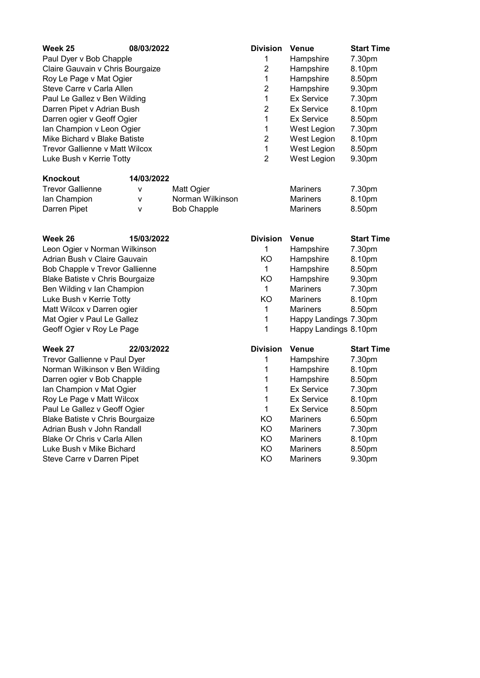| Week 25<br>Paul Dyer v Bob Chapple<br>Claire Gauvain v Chris Bourgaize<br>Roy Le Page v Mat Ogier<br>Steve Carre v Carla Allen<br>Paul Le Gallez v Ben Wilding<br>Darren Pipet v Adrian Bush<br>Darren ogier v Geoff Ogier<br>Ian Champion v Leon Ogier<br>Mike Bichard v Blake Batiste<br><b>Trevor Gallienne v Matt Wilcox</b><br>Luke Bush v Kerrie Totty | 08/03/2022  |                                                      | <b>Division</b><br>1<br>$\overline{2}$<br>1<br>$\overline{2}$<br>1<br>$\overline{2}$<br>1<br>1<br>$\overline{2}$<br>1<br>$\overline{2}$ | Venue<br>Hampshire<br>Hampshire<br>Hampshire<br>Hampshire<br><b>Ex Service</b><br><b>Ex Service</b><br><b>Ex Service</b><br>West Legion<br>West Legion<br>West Legion<br>West Legion | <b>Start Time</b><br>7.30pm<br>8.10pm<br>8.50pm<br>9.30pm<br>7.30pm<br>8.10pm<br>8.50pm<br>7.30pm<br>8.10pm<br>8.50pm<br>9.30pm |
|--------------------------------------------------------------------------------------------------------------------------------------------------------------------------------------------------------------------------------------------------------------------------------------------------------------------------------------------------------------|-------------|------------------------------------------------------|-----------------------------------------------------------------------------------------------------------------------------------------|--------------------------------------------------------------------------------------------------------------------------------------------------------------------------------------|---------------------------------------------------------------------------------------------------------------------------------|
| Knockout                                                                                                                                                                                                                                                                                                                                                     | 14/03/2022  |                                                      |                                                                                                                                         |                                                                                                                                                                                      |                                                                                                                                 |
| <b>Trevor Gallienne</b><br>lan Champion<br>Darren Pipet                                                                                                                                                                                                                                                                                                      | ۷<br>v<br>v | Matt Ogier<br>Norman Wilkinson<br><b>Bob Chapple</b> |                                                                                                                                         | <b>Mariners</b><br><b>Mariners</b><br><b>Mariners</b>                                                                                                                                | 7.30pm<br>8.10pm<br>8.50pm                                                                                                      |
| Week 26                                                                                                                                                                                                                                                                                                                                                      | 15/03/2022  |                                                      | <b>Division</b>                                                                                                                         | <b>Venue</b>                                                                                                                                                                         | <b>Start Time</b>                                                                                                               |
| Leon Ogier v Norman Wilkinson                                                                                                                                                                                                                                                                                                                                |             |                                                      | 1                                                                                                                                       | Hampshire                                                                                                                                                                            | 7.30pm                                                                                                                          |
| Adrian Bush v Claire Gauvain                                                                                                                                                                                                                                                                                                                                 |             |                                                      | KO                                                                                                                                      | Hampshire                                                                                                                                                                            | 8.10pm                                                                                                                          |
| Bob Chapple v Trevor Gallienne                                                                                                                                                                                                                                                                                                                               |             |                                                      | 1                                                                                                                                       | Hampshire                                                                                                                                                                            | 8.50pm                                                                                                                          |
| Blake Batiste v Chris Bourgaize                                                                                                                                                                                                                                                                                                                              |             |                                                      | KO                                                                                                                                      | Hampshire                                                                                                                                                                            | 9.30pm                                                                                                                          |
| Ben Wilding v Ian Champion                                                                                                                                                                                                                                                                                                                                   |             |                                                      | 1                                                                                                                                       | <b>Mariners</b>                                                                                                                                                                      | 7.30pm                                                                                                                          |
| Luke Bush v Kerrie Totty                                                                                                                                                                                                                                                                                                                                     |             |                                                      | KO                                                                                                                                      | <b>Mariners</b>                                                                                                                                                                      | 8.10pm                                                                                                                          |
| Matt Wilcox v Darren ogier                                                                                                                                                                                                                                                                                                                                   |             |                                                      | 1                                                                                                                                       | <b>Mariners</b>                                                                                                                                                                      | 8.50pm                                                                                                                          |
| Mat Ogier v Paul Le Gallez                                                                                                                                                                                                                                                                                                                                   |             |                                                      | 1                                                                                                                                       | Happy Landings 7.30pm                                                                                                                                                                |                                                                                                                                 |
| Geoff Ogier v Roy Le Page                                                                                                                                                                                                                                                                                                                                    |             |                                                      | 1                                                                                                                                       | Happy Landings 8.10pm                                                                                                                                                                |                                                                                                                                 |
| Week 27                                                                                                                                                                                                                                                                                                                                                      | 22/03/2022  |                                                      | <b>Division</b>                                                                                                                         | <b>Venue</b>                                                                                                                                                                         | <b>Start Time</b>                                                                                                               |
| Trevor Gallienne v Paul Dyer                                                                                                                                                                                                                                                                                                                                 |             |                                                      | 1                                                                                                                                       | Hampshire                                                                                                                                                                            | 7.30pm                                                                                                                          |
| Norman Wilkinson v Ben Wilding                                                                                                                                                                                                                                                                                                                               |             |                                                      | 1                                                                                                                                       | Hampshire                                                                                                                                                                            | 8.10pm                                                                                                                          |
| Darren ogier v Bob Chapple                                                                                                                                                                                                                                                                                                                                   |             |                                                      | 1                                                                                                                                       | Hampshire                                                                                                                                                                            | 8.50pm                                                                                                                          |
| Ian Champion v Mat Ogier                                                                                                                                                                                                                                                                                                                                     |             |                                                      | 1                                                                                                                                       | <b>Ex Service</b>                                                                                                                                                                    | 7.30pm                                                                                                                          |
| Roy Le Page v Matt Wilcox                                                                                                                                                                                                                                                                                                                                    |             |                                                      | 1                                                                                                                                       | <b>Ex Service</b>                                                                                                                                                                    | 8.10pm                                                                                                                          |
| Paul Le Gallez v Geoff Ogier                                                                                                                                                                                                                                                                                                                                 |             |                                                      | $\mathbf{1}$                                                                                                                            | <b>Ex Service</b>                                                                                                                                                                    | 8.50pm                                                                                                                          |
| Blake Batiste v Chris Bourgaize                                                                                                                                                                                                                                                                                                                              |             |                                                      | KO                                                                                                                                      | <b>Mariners</b>                                                                                                                                                                      | 6.50pm                                                                                                                          |
| Adrian Bush v John Randall                                                                                                                                                                                                                                                                                                                                   |             |                                                      | KO                                                                                                                                      | <b>Mariners</b>                                                                                                                                                                      | 7.30pm                                                                                                                          |
| Blake Or Chris v Carla Allen                                                                                                                                                                                                                                                                                                                                 |             |                                                      | KO                                                                                                                                      | <b>Mariners</b>                                                                                                                                                                      | 8.10pm                                                                                                                          |
| Luke Bush v Mike Bichard                                                                                                                                                                                                                                                                                                                                     |             |                                                      | KO                                                                                                                                      | <b>Mariners</b>                                                                                                                                                                      | 8.50pm                                                                                                                          |
| Steve Carre v Darren Pipet                                                                                                                                                                                                                                                                                                                                   |             |                                                      | KO                                                                                                                                      | <b>Mariners</b>                                                                                                                                                                      | 9.30pm                                                                                                                          |